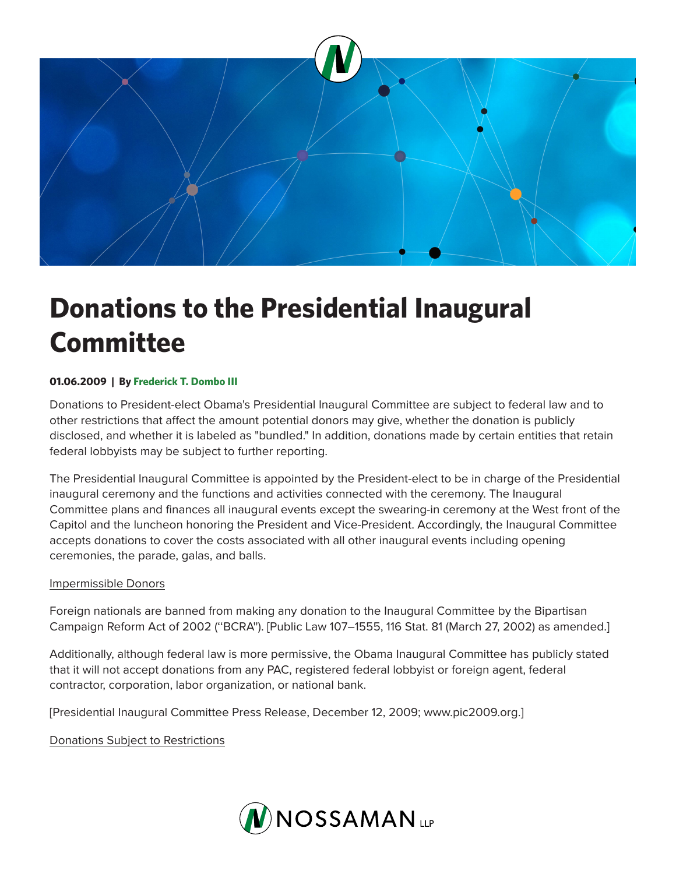

# **Donations to the Presidential Inaugural Committee**

## **01.06.2009 | By Frederick T. Dombo III**

Donations to President-elect Obama's Presidential Inaugural Committee are subject to federal law and to other restrictions that affect the amount potential donors may give, whether the donation is publicly disclosed, and whether it is labeled as "bundled." In addition, donations made by certain entities that retain federal lobbyists may be subject to further reporting.

The Presidential Inaugural Committee is appointed by the President-elect to be in charge of the Presidential inaugural ceremony and the functions and activities connected with the ceremony. The Inaugural Committee plans and finances all inaugural events except the swearing-in ceremony at the West front of the Capitol and the luncheon honoring the President and Vice-President. Accordingly, the Inaugural Committee accepts donations to cover the costs associated with all other inaugural events including opening ceremonies, the parade, galas, and balls.

#### Impermissible Donors

Foreign nationals are banned from making any donation to the Inaugural Committee by the Bipartisan Campaign Reform Act of 2002 (''BCRA''). [Public Law 107–1555, 116 Stat. 81 (March 27, 2002) as amended.]

Additionally, although federal law is more permissive, the Obama Inaugural Committee has publicly stated that it will not accept donations from any PAC, registered federal lobbyist or foreign agent, federal contractor, corporation, labor organization, or national bank.

[Presidential Inaugural Committee Press Release, December 12, 2009; www.pic2009.org.]

Donations Subject to Restrictions